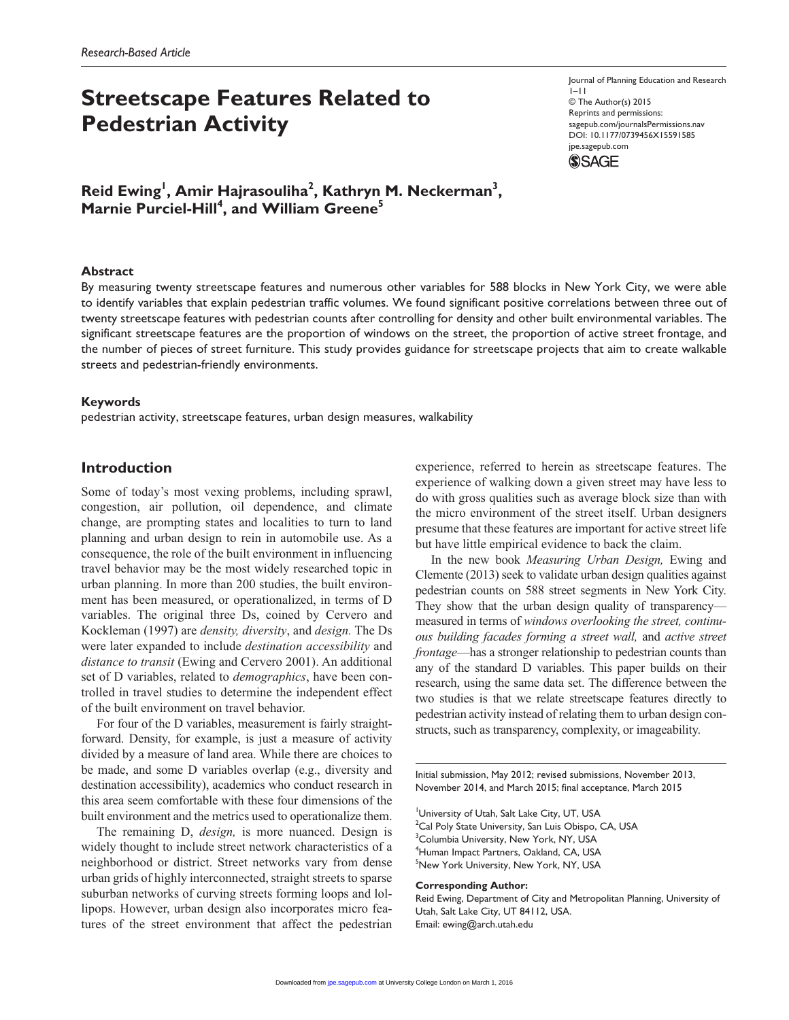# **Streetscape Features Related to Pedestrian Activity**

Journal of Planning Education and Research 1–11 © The Author(s) 2015 Reprints and permissions: sagepub.com/journalsPermissions.nav DOI: 10.1177/0739456X15591585 jpe.sagepub.com



**Reid Ewing<sup>1</sup>, Amir Hajrasouliha<sup>2</sup>, Kathryn M. Neckerman<sup>3</sup>,** Marnie Purciel-Hill<sup>4</sup>, and William Greene<sup>5</sup>

## **Abstract**

By measuring twenty streetscape features and numerous other variables for 588 blocks in New York City, we were able to identify variables that explain pedestrian traffic volumes. We found significant positive correlations between three out of twenty streetscape features with pedestrian counts after controlling for density and other built environmental variables. The significant streetscape features are the proportion of windows on the street, the proportion of active street frontage, and the number of pieces of street furniture. This study provides guidance for streetscape projects that aim to create walkable streets and pedestrian-friendly environments.

#### **Keywords**

pedestrian activity, streetscape features, urban design measures, walkability

## **Introduction**

Some of today's most vexing problems, including sprawl, congestion, air pollution, oil dependence, and climate change, are prompting states and localities to turn to land planning and urban design to rein in automobile use. As a consequence, the role of the built environment in influencing travel behavior may be the most widely researched topic in urban planning. In more than 200 studies, the built environment has been measured, or operationalized, in terms of D variables. The original three Ds, coined by Cervero and Kockleman (1997) are *density, diversity*, and *design.* The Ds were later expanded to include *destination accessibility* and *distance to transit* (Ewing and Cervero 2001). An additional set of D variables, related to *demographics*, have been controlled in travel studies to determine the independent effect of the built environment on travel behavior.

For four of the D variables, measurement is fairly straightforward. Density, for example, is just a measure of activity divided by a measure of land area. While there are choices to be made, and some D variables overlap (e.g., diversity and destination accessibility), academics who conduct research in this area seem comfortable with these four dimensions of the built environment and the metrics used to operationalize them.

The remaining D, *design,* is more nuanced. Design is widely thought to include street network characteristics of a neighborhood or district. Street networks vary from dense urban grids of highly interconnected, straight streets to sparse suburban networks of curving streets forming loops and lollipops. However, urban design also incorporates micro features of the street environment that affect the pedestrian

experience, referred to herein as streetscape features. The experience of walking down a given street may have less to do with gross qualities such as average block size than with the micro environment of the street itself. Urban designers presume that these features are important for active street life but have little empirical evidence to back the claim.

In the new book *Measuring Urban Design,* Ewing and Clemente (2013) seek to validate urban design qualities against pedestrian counts on 588 street segments in New York City. They show that the urban design quality of transparency measured in terms of *windows overlooking the street, continuous building facades forming a street wall,* and *active street frontage*—has a stronger relationship to pedestrian counts than any of the standard D variables. This paper builds on their research, using the same data set. The difference between the two studies is that we relate streetscape features directly to pedestrian activity instead of relating them to urban design constructs, such as transparency, complexity, or imageability.

Initial submission, May 2012; revised submissions, November 2013, November 2014, and March 2015; final acceptance, March 2015

University of Utah, Salt Lake City, UT, USA  $\rm ^{2}$ Cal Poly State University, San Luis Obispo, CA, USA <sup>3</sup>Columbia University, New York, NY, USA 4 Human Impact Partners, Oakland, CA, USA 5 New York University, New York, NY, USA

#### **Corresponding Author:**

Reid Ewing, Department of City and Metropolitan Planning, University of Utah, Salt Lake City, UT 84112, USA. Email: [ewing@arch.utah.edu](mailto:ewing@arch.utah.edu)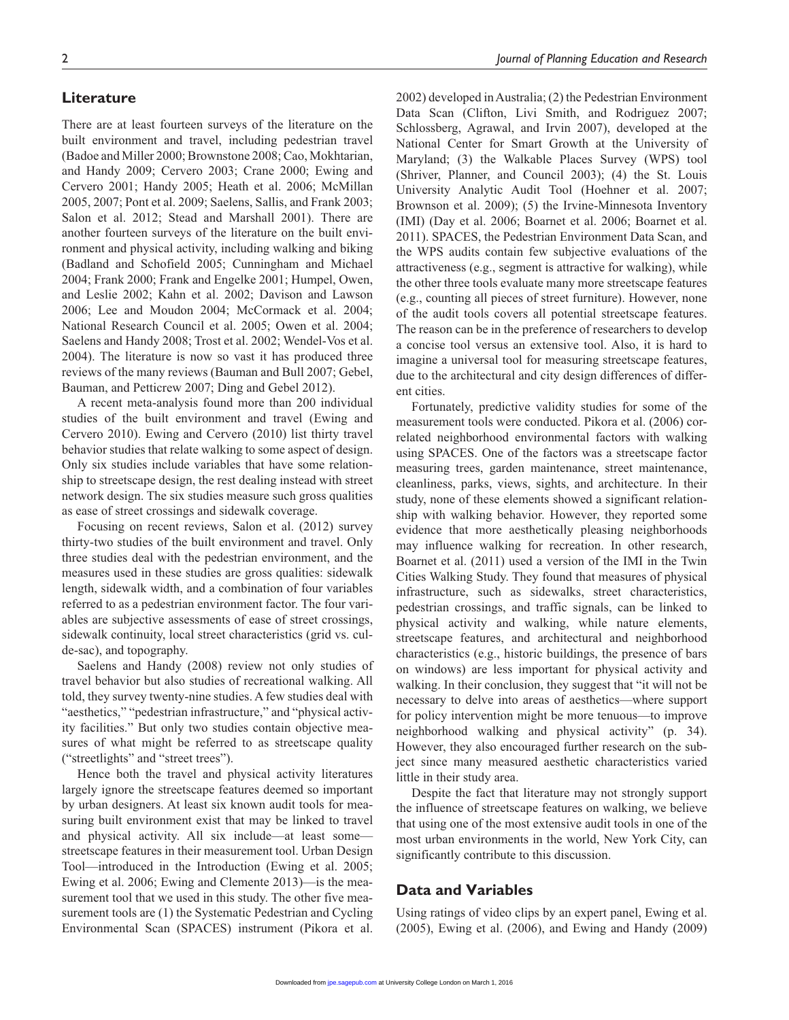## **Literature**

There are at least fourteen surveys of the literature on the built environment and travel, including pedestrian travel (Badoe and Miller 2000; Brownstone 2008; Cao, Mokhtarian, and Handy 2009; Cervero 2003; Crane 2000; Ewing and Cervero 2001; Handy 2005; Heath et al. 2006; McMillan 2005, 2007; Pont et al. 2009; Saelens, Sallis, and Frank 2003; Salon et al. 2012; Stead and Marshall 2001). There are another fourteen surveys of the literature on the built environment and physical activity, including walking and biking (Badland and Schofield 2005; Cunningham and Michael 2004; Frank 2000; Frank and Engelke 2001; Humpel, Owen, and Leslie 2002; Kahn et al. 2002; Davison and Lawson 2006; Lee and Moudon 2004; McCormack et al. 2004; National Research Council et al. 2005; Owen et al. 2004; Saelens and Handy 2008; Trost et al. 2002; Wendel-Vos et al. 2004). The literature is now so vast it has produced three reviews of the many reviews (Bauman and Bull 2007; Gebel, Bauman, and Petticrew 2007; Ding and Gebel 2012).

A recent meta-analysis found more than 200 individual studies of the built environment and travel (Ewing and Cervero 2010). Ewing and Cervero (2010) list thirty travel behavior studies that relate walking to some aspect of design. Only six studies include variables that have some relationship to streetscape design, the rest dealing instead with street network design. The six studies measure such gross qualities as ease of street crossings and sidewalk coverage.

Focusing on recent reviews, Salon et al. (2012) survey thirty-two studies of the built environment and travel. Only three studies deal with the pedestrian environment, and the measures used in these studies are gross qualities: sidewalk length, sidewalk width, and a combination of four variables referred to as a pedestrian environment factor. The four variables are subjective assessments of ease of street crossings, sidewalk continuity, local street characteristics (grid vs. culde-sac), and topography.

Saelens and Handy (2008) review not only studies of travel behavior but also studies of recreational walking. All told, they survey twenty-nine studies. A few studies deal with "aesthetics," "pedestrian infrastructure," and "physical activity facilities." But only two studies contain objective measures of what might be referred to as streetscape quality ("streetlights" and "street trees").

Hence both the travel and physical activity literatures largely ignore the streetscape features deemed so important by urban designers. At least six known audit tools for measuring built environment exist that may be linked to travel and physical activity. All six include—at least some streetscape features in their measurement tool. Urban Design Tool—introduced in the Introduction (Ewing et al. 2005; Ewing et al. 2006; Ewing and Clemente 2013)—is the measurement tool that we used in this study. The other five measurement tools are (1) the Systematic Pedestrian and Cycling Environmental Scan (SPACES) instrument (Pikora et al.

2002) developed in Australia; (2) the Pedestrian Environment Data Scan (Clifton, Livi Smith, and Rodriguez 2007; Schlossberg, Agrawal, and Irvin 2007), developed at the National Center for Smart Growth at the University of Maryland; (3) the Walkable Places Survey (WPS) tool (Shriver, Planner, and Council 2003); (4) the St. Louis University Analytic Audit Tool (Hoehner et al. 2007; Brownson et al. 2009); (5) the Irvine-Minnesota Inventory (IMI) (Day et al. 2006; Boarnet et al. 2006; Boarnet et al. 2011). SPACES, the Pedestrian Environment Data Scan, and the WPS audits contain few subjective evaluations of the attractiveness (e.g., segment is attractive for walking), while the other three tools evaluate many more streetscape features (e.g., counting all pieces of street furniture). However, none of the audit tools covers all potential streetscape features. The reason can be in the preference of researchers to develop a concise tool versus an extensive tool. Also, it is hard to imagine a universal tool for measuring streetscape features, due to the architectural and city design differences of different cities.

Fortunately, predictive validity studies for some of the measurement tools were conducted. Pikora et al. (2006) correlated neighborhood environmental factors with walking using SPACES. One of the factors was a streetscape factor measuring trees, garden maintenance, street maintenance, cleanliness, parks, views, sights, and architecture. In their study, none of these elements showed a significant relationship with walking behavior. However, they reported some evidence that more aesthetically pleasing neighborhoods may influence walking for recreation. In other research, Boarnet et al. (2011) used a version of the IMI in the Twin Cities Walking Study. They found that measures of physical infrastructure, such as sidewalks, street characteristics, pedestrian crossings, and traffic signals, can be linked to physical activity and walking, while nature elements, streetscape features, and architectural and neighborhood characteristics (e.g., historic buildings, the presence of bars on windows) are less important for physical activity and walking. In their conclusion, they suggest that "it will not be necessary to delve into areas of aesthetics—where support for policy intervention might be more tenuous—to improve neighborhood walking and physical activity" (p. 34). However, they also encouraged further research on the subject since many measured aesthetic characteristics varied little in their study area.

Despite the fact that literature may not strongly support the influence of streetscape features on walking, we believe that using one of the most extensive audit tools in one of the most urban environments in the world, New York City, can significantly contribute to this discussion.

## **Data and Variables**

Using ratings of video clips by an expert panel, Ewing et al. (2005), Ewing et al. (2006), and Ewing and Handy (2009)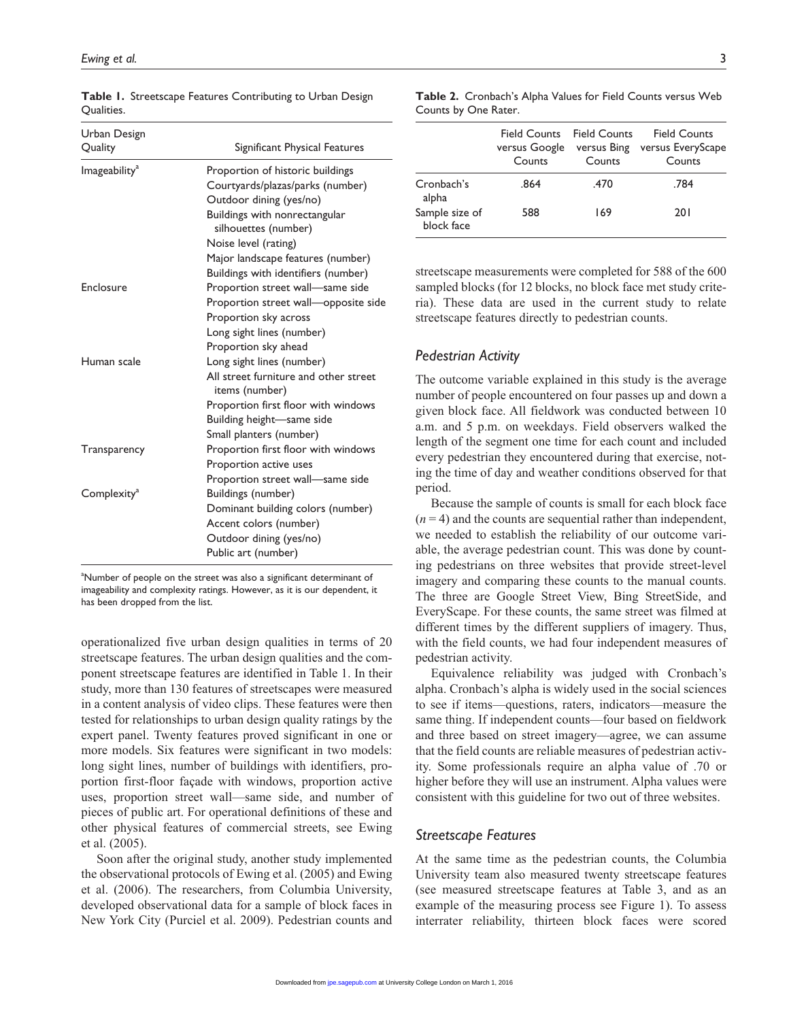| Significant Physical Features         |
|---------------------------------------|
| Proportion of historic buildings      |
| Courtyards/plazas/parks (number)      |
| Outdoor dining (yes/no)               |
| Buildings with nonrectangular         |
| silhouettes (number)                  |
| Noise level (rating)                  |
| Major landscape features (number)     |
| Buildings with identifiers (number)   |
| Proportion street wall-same side      |
| Proportion street wall-opposite side  |
| Proportion sky across                 |
| Long sight lines (number)             |
| Proportion sky ahead                  |
| Long sight lines (number)             |
| All street furniture and other street |
| items (number)                        |
| Proportion first floor with windows   |
| Building height-same side             |
| Small planters (number)               |
| Proportion first floor with windows   |
| Proportion active uses                |
| Proportion street wall-same side      |
| Buildings (number)                    |
| Dominant building colors (number)     |
| Accent colors (number)                |
| Outdoor dining (yes/no)               |
| Public art (number)                   |
|                                       |

**Table 1.** Streetscape Features Contributing to Urban Design Qualities.

<sup>a</sup>Number of people on the street was also a significant determinant of imageability and complexity ratings. However, as it is our dependent, it has been dropped from the list.

operationalized five urban design qualities in terms of 20 streetscape features. The urban design qualities and the component streetscape features are identified in Table 1. In their study, more than 130 features of streetscapes were measured in a content analysis of video clips. These features were then tested for relationships to urban design quality ratings by the expert panel. Twenty features proved significant in one or more models. Six features were significant in two models: long sight lines, number of buildings with identifiers, proportion first-floor façade with windows, proportion active uses, proportion street wall—same side, and number of pieces of public art. For operational definitions of these and other physical features of commercial streets, see Ewing et al. (2005).

Soon after the original study, another study implemented the observational protocols of Ewing et al. (2005) and Ewing et al. (2006). The researchers, from Columbia University, developed observational data for a sample of block faces in New York City (Purciel et al. 2009). Pedestrian counts and

|                              | <b>Field Counts</b><br>versus Google<br>Counts | <b>Field Counts</b><br>versus Bing<br>Counts | <b>Field Counts</b><br>versus EveryScape<br>Counts |
|------------------------------|------------------------------------------------|----------------------------------------------|----------------------------------------------------|
| Cronbach's<br>alpha          | .864                                           | .470                                         | .784                                               |
| Sample size of<br>block face | 588                                            | 169                                          | 201                                                |

streetscape measurements were completed for 588 of the 600 sampled blocks (for 12 blocks, no block face met study criteria). These data are used in the current study to relate streetscape features directly to pedestrian counts.

# *Pedestrian Activity*

The outcome variable explained in this study is the average number of people encountered on four passes up and down a given block face. All fieldwork was conducted between 10 a.m. and 5 p.m. on weekdays. Field observers walked the length of the segment one time for each count and included every pedestrian they encountered during that exercise, noting the time of day and weather conditions observed for that period.

Because the sample of counts is small for each block face  $(n=4)$  and the counts are sequential rather than independent, we needed to establish the reliability of our outcome variable, the average pedestrian count. This was done by counting pedestrians on three websites that provide street-level imagery and comparing these counts to the manual counts. The three are Google Street View, Bing StreetSide, and EveryScape. For these counts, the same street was filmed at different times by the different suppliers of imagery. Thus, with the field counts, we had four independent measures of pedestrian activity.

Equivalence reliability was judged with Cronbach's alpha. Cronbach's alpha is widely used in the social sciences to see if items—questions, raters, indicators—measure the same thing. If independent counts—four based on fieldwork and three based on street imagery—agree, we can assume that the field counts are reliable measures of pedestrian activity. Some professionals require an alpha value of .70 or higher before they will use an instrument. Alpha values were consistent with this guideline for two out of three websites.

## *Streetscape Features*

At the same time as the pedestrian counts, the Columbia University team also measured twenty streetscape features (see measured streetscape features at Table 3, and as an example of the measuring process see Figure 1). To assess interrater reliability, thirteen block faces were scored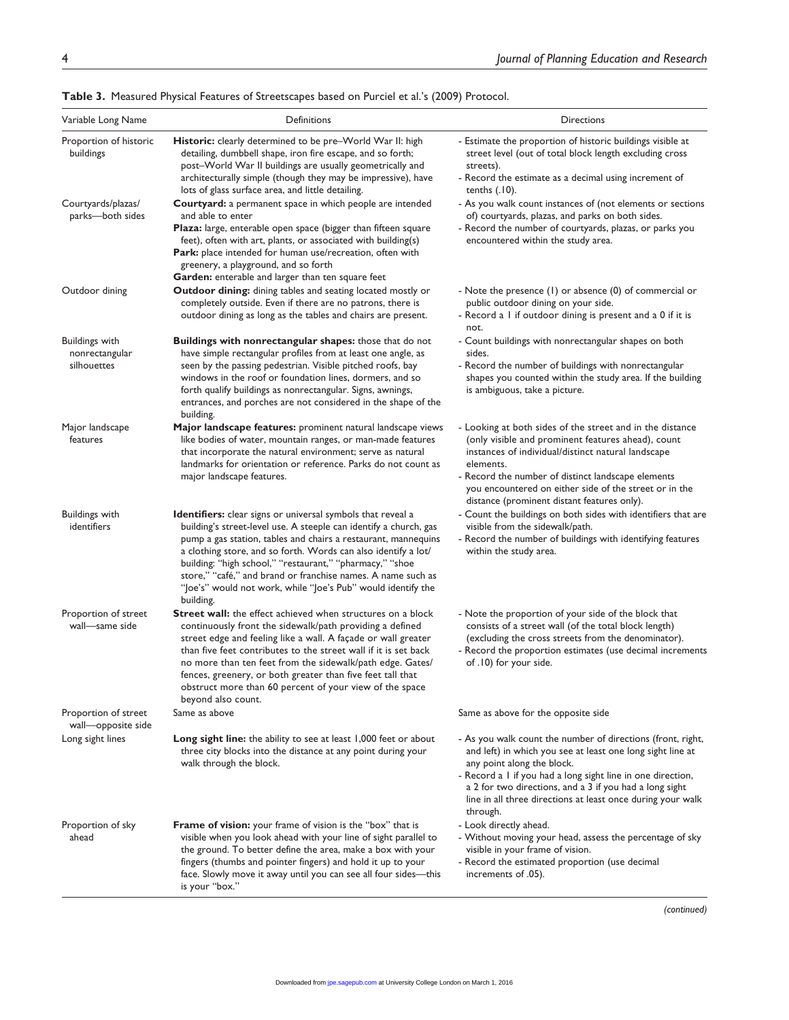*(continued)*

| Variable Long Name                                     | Definitions                                                                                                                                                                                                                                                                                                                                                                                                                                                                    | <b>Directions</b>                                                                                                                                                                                                                                                                                                                                            |  |  |
|--------------------------------------------------------|--------------------------------------------------------------------------------------------------------------------------------------------------------------------------------------------------------------------------------------------------------------------------------------------------------------------------------------------------------------------------------------------------------------------------------------------------------------------------------|--------------------------------------------------------------------------------------------------------------------------------------------------------------------------------------------------------------------------------------------------------------------------------------------------------------------------------------------------------------|--|--|
| Proportion of historic<br>buildings                    | Historic: clearly determined to be pre-World War II: high<br>detailing, dumbbell shape, iron fire escape, and so forth;<br>post-World War II buildings are usually geometrically and                                                                                                                                                                                                                                                                                           | - Estimate the proportion of historic buildings visible at<br>street level (out of total block length excluding cross<br>streets).                                                                                                                                                                                                                           |  |  |
|                                                        | architecturally simple (though they may be impressive), have<br>lots of glass surface area, and little detailing.                                                                                                                                                                                                                                                                                                                                                              | - Record the estimate as a decimal using increment of<br>tenths $(.10)$ .                                                                                                                                                                                                                                                                                    |  |  |
| Courtyards/plazas/<br>parks-both sides                 | Courtyard: a permanent space in which people are intended<br>and able to enter                                                                                                                                                                                                                                                                                                                                                                                                 | - As you walk count instances of (not elements or sections<br>of) courtyards, plazas, and parks on both sides.                                                                                                                                                                                                                                               |  |  |
|                                                        | Plaza: large, enterable open space (bigger than fifteen square<br>feet), often with art, plants, or associated with building(s)<br>Park: place intended for human use/recreation, often with<br>greenery, a playground, and so forth<br>Garden: enterable and larger than ten square feet                                                                                                                                                                                      | - Record the number of courtyards, plazas, or parks you<br>encountered within the study area.                                                                                                                                                                                                                                                                |  |  |
| Outdoor dining                                         | Outdoor dining: dining tables and seating located mostly or<br>completely outside. Even if there are no patrons, there is<br>outdoor dining as long as the tables and chairs are present.                                                                                                                                                                                                                                                                                      | - Note the presence (I) or absence (0) of commercial or<br>public outdoor dining on your side.<br>- Record a 1 if outdoor dining is present and a 0 if it is<br>not.                                                                                                                                                                                         |  |  |
| <b>Buildings with</b><br>nonrectangular<br>silhouettes | Buildings with nonrectangular shapes: those that do not<br>have simple rectangular profiles from at least one angle, as<br>seen by the passing pedestrian. Visible pitched roofs, bay<br>windows in the roof or foundation lines, dormers, and so<br>forth qualify buildings as nonrectangular. Signs, awnings,<br>entrances, and porches are not considered in the shape of the<br>building.                                                                                  | - Count buildings with nonrectangular shapes on both<br>sides.<br>- Record the number of buildings with nonrectangular<br>shapes you counted within the study area. If the building<br>is ambiguous, take a picture.                                                                                                                                         |  |  |
| Major landscape<br>features                            | Major landscape features: prominent natural landscape views<br>like bodies of water, mountain ranges, or man-made features<br>that incorporate the natural environment; serve as natural<br>landmarks for orientation or reference. Parks do not count as<br>major landscape features.                                                                                                                                                                                         | - Looking at both sides of the street and in the distance<br>(only visible and prominent features ahead), count<br>instances of individual/distinct natural landscape<br>elements.<br>- Record the number of distinct landscape elements<br>you encountered on either side of the street or in the<br>distance (prominent distant features only).            |  |  |
| <b>Buildings with</b><br>identifiers                   | Identifiers: clear signs or universal symbols that reveal a<br>building's street-level use. A steeple can identify a church, gas<br>pump a gas station, tables and chairs a restaurant, mannequins<br>a clothing store, and so forth. Words can also identify a lot/<br>building: "high school," "restaurant," "pharmacy," "shoe<br>store," "café," and brand or franchise names. A name such as<br>"Joe's" would not work, while "Joe's Pub" would identify the<br>building.  | - Count the buildings on both sides with identifiers that are<br>visible from the sidewalk/path.<br>- Record the number of buildings with identifying features<br>within the study area.                                                                                                                                                                     |  |  |
| Proportion of street<br>wall-same side                 | <b>Street wall:</b> the effect achieved when structures on a block<br>continuously front the sidewalk/path providing a defined<br>street edge and feeling like a wall. A façade or wall greater<br>than five feet contributes to the street wall if it is set back<br>no more than ten feet from the sidewalk/path edge. Gates/<br>fences, greenery, or both greater than five feet tall that<br>obstruct more than 60 percent of your view of the space<br>beyond also count. | - Note the proportion of your side of the block that<br>consists of a street wall (of the total block length)<br>(excluding the cross streets from the denominator).<br>- Record the proportion estimates (use decimal increments<br>of .10) for your side.                                                                                                  |  |  |
| Proportion of street<br>wall-opposite side             | Same as above                                                                                                                                                                                                                                                                                                                                                                                                                                                                  | Same as above for the opposite side                                                                                                                                                                                                                                                                                                                          |  |  |
| Long sight lines                                       | Long sight line: the ability to see at least 1,000 feet or about<br>three city blocks into the distance at any point during your<br>walk through the block.                                                                                                                                                                                                                                                                                                                    | - As you walk count the number of directions (front, right,<br>and left) in which you see at least one long sight line at<br>any point along the block.<br>- Record a 1 if you had a long sight line in one direction,<br>a 2 for two directions, and a 3 if you had a long sight<br>line in all three directions at least once during your walk<br>through. |  |  |
| Proportion of sky<br>ahead                             | <b>Frame of vision:</b> your frame of vision is the "box" that is<br>visible when you look ahead with your line of sight parallel to<br>the ground. To better define the area, make a box with your<br>fingers (thumbs and pointer fingers) and hold it up to your<br>face. Slowly move it away until you can see all four sides-this<br>is your "box."                                                                                                                        | - Look directly ahead.<br>- Without moving your head, assess the percentage of sky<br>visible in your frame of vision.<br>- Record the estimated proportion (use decimal<br>increments of .05).                                                                                                                                                              |  |  |

**Table 3.** Measured Physical Features of Streetscapes based on Purciel et al.'s (2009) Protocol.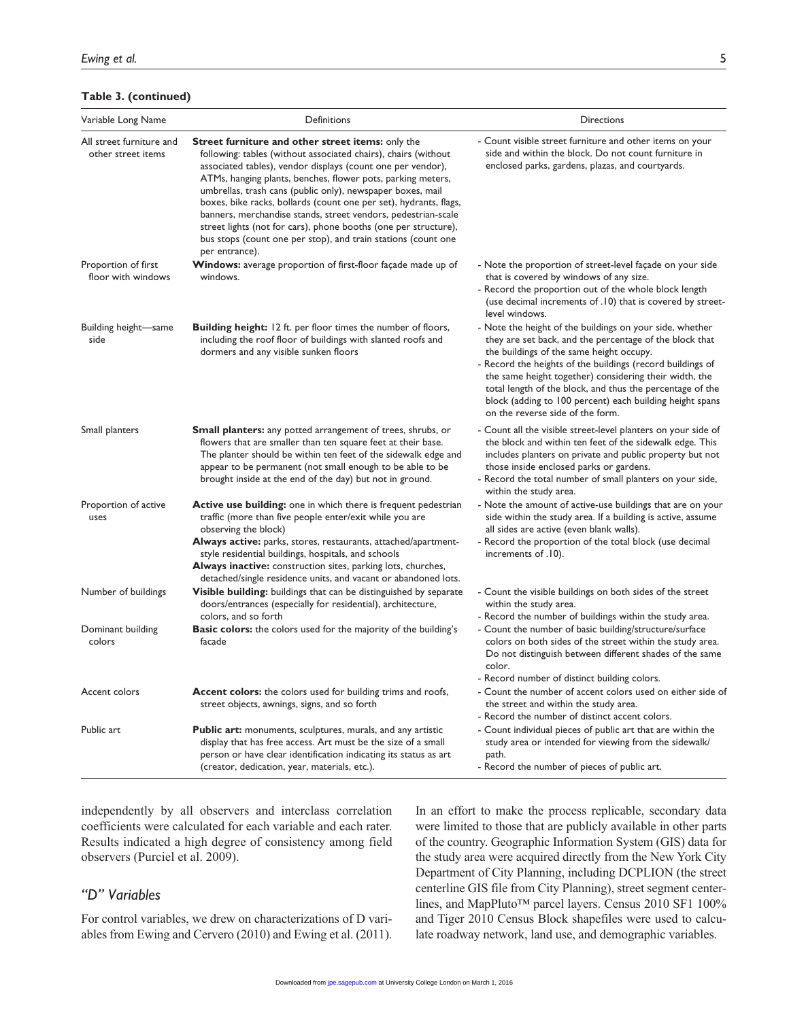## **Table 3. (continued)**

| Variable Long Name                             | Definitions                                                                                                                                                                                                                                                                                                                                                                                                                                                                                                                                                                                                 | <b>Directions</b>                                                                                                                                                                                                                                                                                                                                                                                                                                    |
|------------------------------------------------|-------------------------------------------------------------------------------------------------------------------------------------------------------------------------------------------------------------------------------------------------------------------------------------------------------------------------------------------------------------------------------------------------------------------------------------------------------------------------------------------------------------------------------------------------------------------------------------------------------------|------------------------------------------------------------------------------------------------------------------------------------------------------------------------------------------------------------------------------------------------------------------------------------------------------------------------------------------------------------------------------------------------------------------------------------------------------|
| All street furniture and<br>other street items | Street furniture and other street items: only the<br>following: tables (without associated chairs), chairs (without<br>associated tables), vendor displays (count one per vendor),<br>ATMs, hanging plants, benches, flower pots, parking meters,<br>umbrellas, trash cans (public only), newspaper boxes, mail<br>boxes, bike racks, bollards (count one per set), hydrants, flags,<br>banners, merchandise stands, street vendors, pedestrian-scale<br>street lights (not for cars), phone booths (one per structure),<br>bus stops (count one per stop), and train stations (count one<br>per entrance). | - Count visible street furniture and other items on your<br>side and within the block. Do not count furniture in<br>enclosed parks, gardens, plazas, and courtyards.                                                                                                                                                                                                                                                                                 |
| Proportion of first<br>floor with windows      | Windows: average proportion of first-floor façade made up of<br>windows.                                                                                                                                                                                                                                                                                                                                                                                                                                                                                                                                    | - Note the proportion of street-level façade on your side<br>that is covered by windows of any size.<br>- Record the proportion out of the whole block length<br>(use decimal increments of .10) that is covered by street-<br>level windows.                                                                                                                                                                                                        |
| Building height—same<br>side                   | <b>Building height:</b> 12 ft. per floor times the number of floors,<br>including the roof floor of buildings with slanted roofs and<br>dormers and any visible sunken floors                                                                                                                                                                                                                                                                                                                                                                                                                               | - Note the height of the buildings on your side, whether<br>they are set back, and the percentage of the block that<br>the buildings of the same height occupy.<br>- Record the heights of the buildings (record buildings of<br>the same height together) considering their width, the<br>total length of the block, and thus the percentage of the<br>block (adding to 100 percent) each building height spans<br>on the reverse side of the form. |
| Small planters                                 | <b>Small planters:</b> any potted arrangement of trees, shrubs, or<br>flowers that are smaller than ten square feet at their base.<br>The planter should be within ten feet of the sidewalk edge and<br>appear to be permanent (not small enough to be able to be<br>brought inside at the end of the day) but not in ground.                                                                                                                                                                                                                                                                               | - Count all the visible street-level planters on your side of<br>the block and within ten feet of the sidewalk edge. This<br>includes planters on private and public property but not<br>those inside enclosed parks or gardens.<br>- Record the total number of small planters on your side,<br>within the study area.                                                                                                                              |
| Proportion of active<br>uses                   | Active use building: one in which there is frequent pedestrian<br>traffic (more than five people enter/exit while you are<br>observing the block)<br><b>Always active:</b> parks, stores, restaurants, attached/apartment-<br>style residential buildings, hospitals, and schools<br>Always inactive: construction sites, parking lots, churches,<br>detached/single residence units, and vacant or abandoned lots.                                                                                                                                                                                         | - Note the amount of active-use buildings that are on your<br>side within the study area. If a building is active, assume<br>all sides are active (even blank walls).<br>- Record the proportion of the total block (use decimal<br>increments of .10).                                                                                                                                                                                              |
| Number of buildings                            | <b>Visible building:</b> buildings that can be distinguished by separate<br>doors/entrances (especially for residential), architecture,<br>colors, and so forth                                                                                                                                                                                                                                                                                                                                                                                                                                             | - Count the visible buildings on both sides of the street<br>within the study area.<br>- Record the number of buildings within the study area.                                                                                                                                                                                                                                                                                                       |
| Dominant building<br>colors                    | <b>Basic colors:</b> the colors used for the majority of the building's<br>facade                                                                                                                                                                                                                                                                                                                                                                                                                                                                                                                           | - Count the number of basic building/structure/surface<br>colors on both sides of the street within the study area.<br>Do not distinguish between different shades of the same<br>color.<br>- Record number of distinct building colors.                                                                                                                                                                                                             |
| Accent colors                                  | Accent colors: the colors used for building trims and roofs,<br>street objects, awnings, signs, and so forth                                                                                                                                                                                                                                                                                                                                                                                                                                                                                                | - Count the number of accent colors used on either side of<br>the street and within the study area.<br>- Record the number of distinct accent colors.                                                                                                                                                                                                                                                                                                |
| Public art                                     | <b>Public art:</b> monuments, sculptures, murals, and any artistic<br>display that has free access. Art must be the size of a small<br>person or have clear identification indicating its status as art<br>(creator, dedication, year, materials, etc.).                                                                                                                                                                                                                                                                                                                                                    | - Count individual pieces of public art that are within the<br>study area or intended for viewing from the sidewalk/<br>path.<br>- Record the number of pieces of public art.                                                                                                                                                                                                                                                                        |

independently by all observers and interclass correlation coefficients were calculated for each variable and each rater. Results indicated a high degree of consistency among field observers (Purciel et al. 2009).

# *"D" Variables*

For control variables, we drew on characterizations of D variables from Ewing and Cervero (2010) and Ewing et al. (2011).

In an effort to make the process replicable, secondary data were limited to those that are publicly available in other parts of the country. Geographic Information System (GIS) data for the study area were acquired directly from the New York City Department of City Planning, including DCPLION (the street centerline GIS file from City Planning), street segment centerlines, and MapPluto™ parcel layers. Census 2010 SF1 100% and Tiger 2010 Census Block shapefiles were used to calculate roadway network, land use, and demographic variables.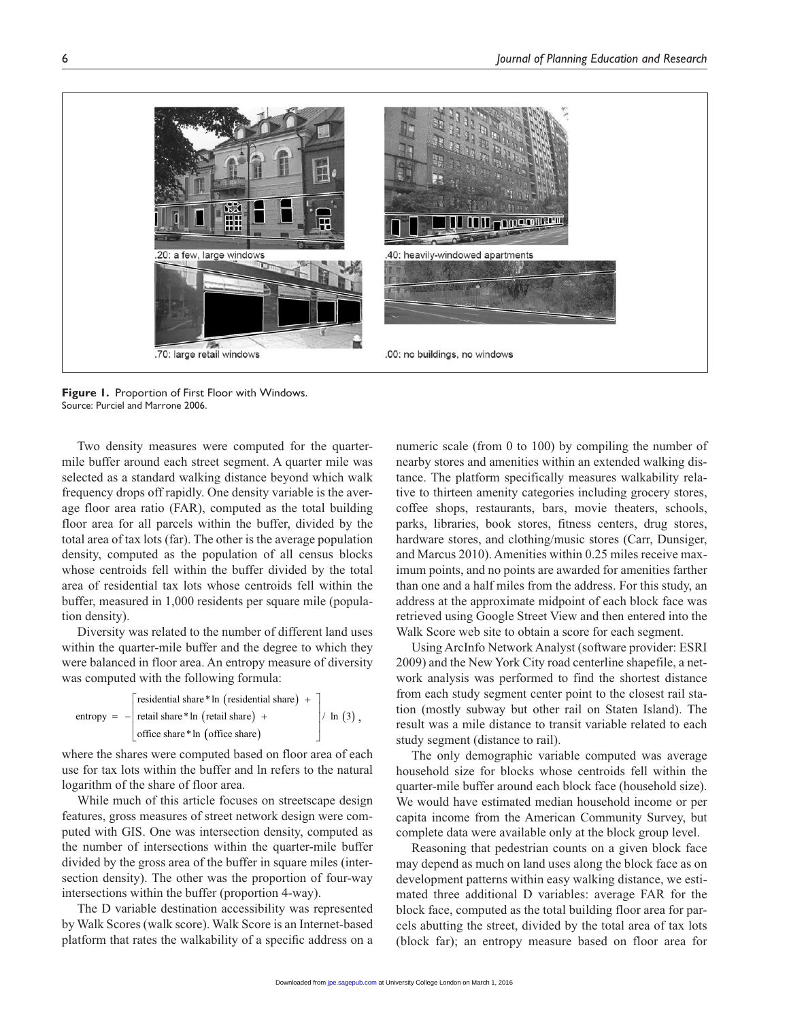

**Figure 1.** Proportion of First Floor with Windows. Source: Purciel and Marrone 2006.

Two density measures were computed for the quartermile buffer around each street segment. A quarter mile was selected as a standard walking distance beyond which walk frequency drops off rapidly. One density variable is the average floor area ratio (FAR), computed as the total building floor area for all parcels within the buffer, divided by the total area of tax lots (far). The other is the average population density, computed as the population of all census blocks whose centroids fell within the buffer divided by the total area of residential tax lots whose centroids fell within the buffer, measured in 1,000 residents per square mile (population density).

Diversity was related to the number of different land uses within the quarter-mile buffer and the degree to which they were balanced in floor area. An entropy measure of diversity was computed with the following formula:

$$
entropy = - \begin{bmatrix} \text{residental share * In (residental share)} + \\ \text{retail share * In (retail share)} + \\ \text{office share * In (office share)} \end{bmatrix} / \ln (3),
$$

where the shares were computed based on floor area of each use for tax lots within the buffer and ln refers to the natural logarithm of the share of floor area.

While much of this article focuses on streetscape design features, gross measures of street network design were computed with GIS. One was intersection density, computed as the number of intersections within the quarter-mile buffer divided by the gross area of the buffer in square miles (intersection density). The other was the proportion of four-way intersections within the buffer (proportion 4-way).

The D variable destination accessibility was represented by Walk Scores (walk score). Walk Score is an Internet-based platform that rates the walkability of a specific address on a

numeric scale (from 0 to 100) by compiling the number of nearby stores and amenities within an extended walking distance. The platform specifically measures walkability relative to thirteen amenity categories including grocery stores, coffee shops, restaurants, bars, movie theaters, schools, parks, libraries, book stores, fitness centers, drug stores, hardware stores, and clothing/music stores (Carr, Dunsiger, and Marcus 2010). Amenities within 0.25 miles receive maximum points, and no points are awarded for amenities farther than one and a half miles from the address. For this study, an address at the approximate midpoint of each block face was retrieved using Google Street View and then entered into the Walk Score web site to obtain a score for each segment.

Using ArcInfo Network Analyst (software provider: ESRI 2009) and the New York City road centerline shapefile, a network analysis was performed to find the shortest distance from each study segment center point to the closest rail station (mostly subway but other rail on Staten Island). The result was a mile distance to transit variable related to each study segment (distance to rail).

The only demographic variable computed was average household size for blocks whose centroids fell within the quarter-mile buffer around each block face (household size). We would have estimated median household income or per capita income from the American Community Survey, but complete data were available only at the block group level.

Reasoning that pedestrian counts on a given block face may depend as much on land uses along the block face as on development patterns within easy walking distance, we estimated three additional D variables: average FAR for the block face, computed as the total building floor area for parcels abutting the street, divided by the total area of tax lots (block far); an entropy measure based on floor area for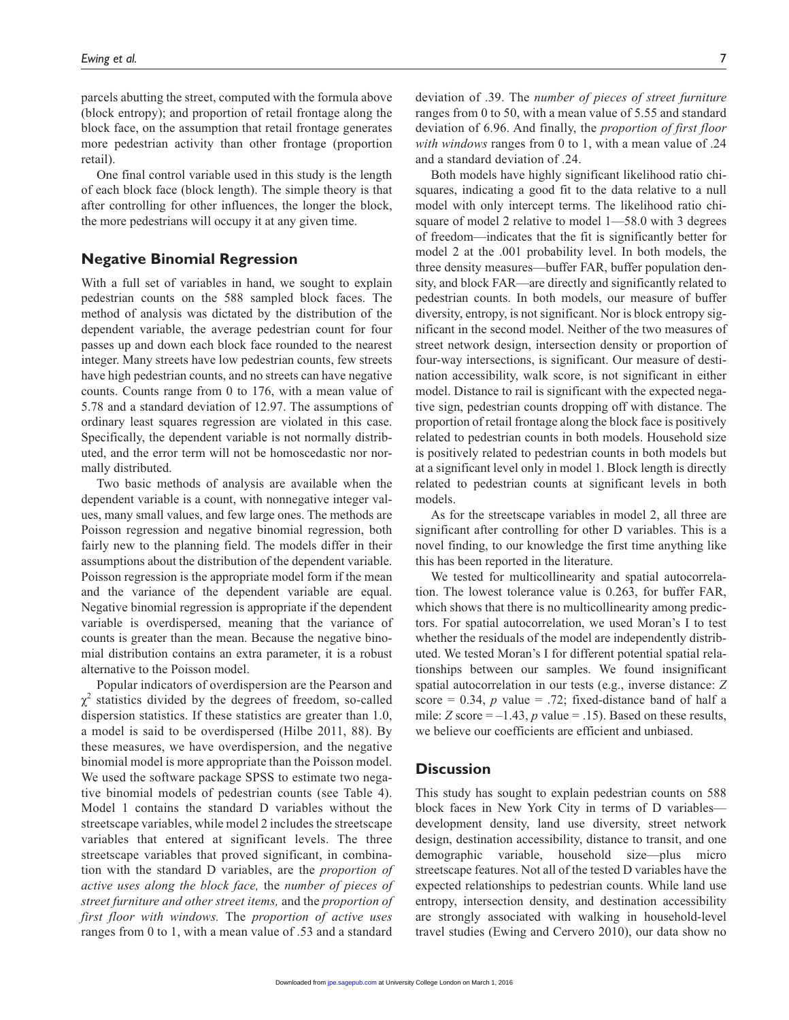parcels abutting the street, computed with the formula above (block entropy); and proportion of retail frontage along the block face, on the assumption that retail frontage generates more pedestrian activity than other frontage (proportion retail).

One final control variable used in this study is the length of each block face (block length). The simple theory is that after controlling for other influences, the longer the block, the more pedestrians will occupy it at any given time.

## **Negative Binomial Regression**

With a full set of variables in hand, we sought to explain pedestrian counts on the 588 sampled block faces. The method of analysis was dictated by the distribution of the dependent variable, the average pedestrian count for four passes up and down each block face rounded to the nearest integer. Many streets have low pedestrian counts, few streets have high pedestrian counts, and no streets can have negative counts. Counts range from 0 to 176, with a mean value of 5.78 and a standard deviation of 12.97. The assumptions of ordinary least squares regression are violated in this case. Specifically, the dependent variable is not normally distributed, and the error term will not be homoscedastic nor normally distributed.

Two basic methods of analysis are available when the dependent variable is a count, with nonnegative integer values, many small values, and few large ones. The methods are Poisson regression and negative binomial regression, both fairly new to the planning field. The models differ in their assumptions about the distribution of the dependent variable. Poisson regression is the appropriate model form if the mean and the variance of the dependent variable are equal. Negative binomial regression is appropriate if the dependent variable is overdispersed, meaning that the variance of counts is greater than the mean. Because the negative binomial distribution contains an extra parameter, it is a robust alternative to the Poisson model.

Popular indicators of overdispersion are the Pearson and  $\chi^2$  statistics divided by the degrees of freedom, so-called dispersion statistics. If these statistics are greater than 1.0, a model is said to be overdispersed (Hilbe 2011, 88). By these measures, we have overdispersion, and the negative binomial model is more appropriate than the Poisson model. We used the software package SPSS to estimate two negative binomial models of pedestrian counts (see Table 4). Model 1 contains the standard D variables without the streetscape variables, while model 2 includes the streetscape variables that entered at significant levels. The three streetscape variables that proved significant, in combination with the standard D variables, are the *proportion of active uses along the block face,* the *number of pieces of street furniture and other street items,* and the *proportion of first floor with windows.* The *proportion of active uses* ranges from 0 to 1, with a mean value of .53 and a standard

deviation of .39. The *number of pieces of street furniture* ranges from 0 to 50, with a mean value of 5.55 and standard deviation of 6.96. And finally, the *proportion of first floor with windows* ranges from 0 to 1, with a mean value of .24 and a standard deviation of .24.

Both models have highly significant likelihood ratio chisquares, indicating a good fit to the data relative to a null model with only intercept terms. The likelihood ratio chisquare of model 2 relative to model 1—58.0 with 3 degrees of freedom—indicates that the fit is significantly better for model 2 at the .001 probability level. In both models, the three density measures—buffer FAR, buffer population density, and block FAR—are directly and significantly related to pedestrian counts. In both models, our measure of buffer diversity, entropy, is not significant. Nor is block entropy significant in the second model. Neither of the two measures of street network design, intersection density or proportion of four-way intersections, is significant. Our measure of destination accessibility, walk score, is not significant in either model. Distance to rail is significant with the expected negative sign, pedestrian counts dropping off with distance. The proportion of retail frontage along the block face is positively related to pedestrian counts in both models. Household size is positively related to pedestrian counts in both models but at a significant level only in model 1. Block length is directly related to pedestrian counts at significant levels in both models.

As for the streetscape variables in model 2, all three are significant after controlling for other D variables. This is a novel finding, to our knowledge the first time anything like this has been reported in the literature.

We tested for multicollinearity and spatial autocorrelation. The lowest tolerance value is 0.263, for buffer FAR, which shows that there is no multicollinearity among predictors. For spatial autocorrelation, we used Moran's I to test whether the residuals of the model are independently distributed. We tested Moran's I for different potential spatial relationships between our samples. We found insignificant spatial autocorrelation in our tests (e.g., inverse distance: *Z* score =  $0.34$ , *p* value = .72; fixed-distance band of half a mile: *Z* score  $= -1.43$ , *p* value  $= .15$ ). Based on these results, we believe our coefficients are efficient and unbiased.

## **Discussion**

This study has sought to explain pedestrian counts on 588 block faces in New York City in terms of D variables development density, land use diversity, street network design, destination accessibility, distance to transit, and one demographic variable, household size—plus micro streetscape features. Not all of the tested D variables have the expected relationships to pedestrian counts. While land use entropy, intersection density, and destination accessibility are strongly associated with walking in household-level travel studies (Ewing and Cervero 2010), our data show no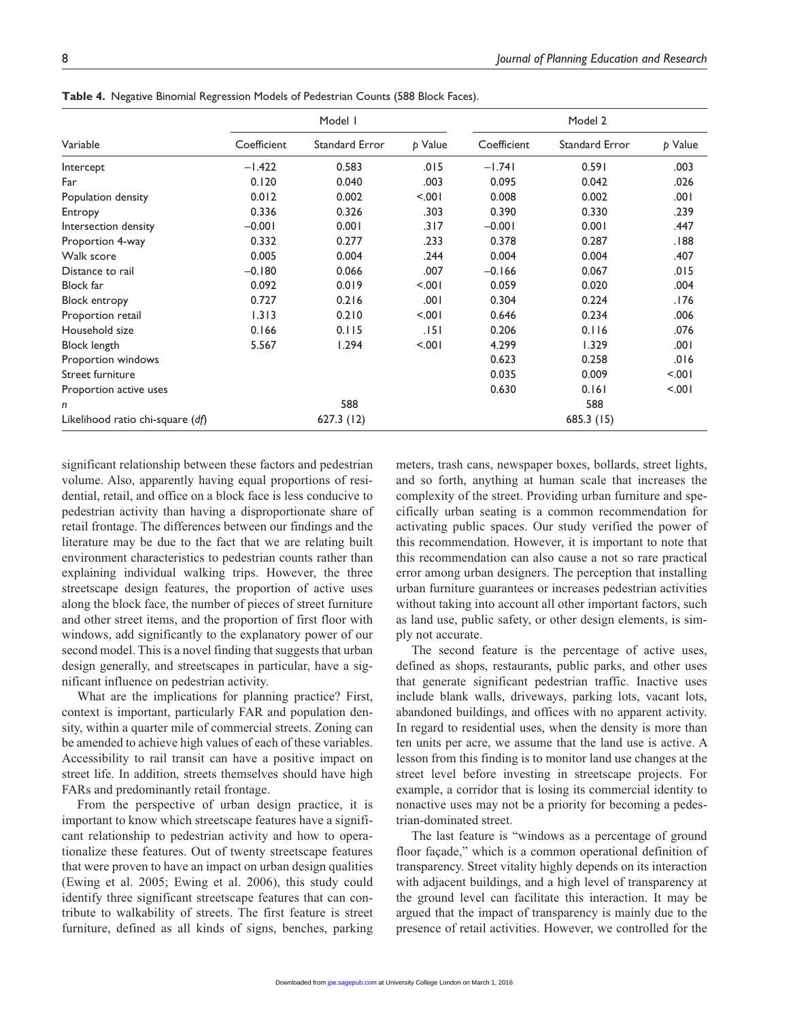|                                  | Model I     |                       |         | Model 2     |                       |         |
|----------------------------------|-------------|-----------------------|---------|-------------|-----------------------|---------|
| Variable                         | Coefficient | <b>Standard Error</b> | p Value | Coefficient | <b>Standard Error</b> | p Value |
| Intercept                        | $-1.422$    | 0.583                 | .015    | $-1.741$    | 0.591                 | .003    |
| Far                              | 0.120       | 0.040                 | .003    | 0.095       | 0.042                 | .026    |
| Population density               | 0.012       | 0.002                 | $100$ . | 0.008       | 0.002                 | .001    |
| Entropy                          | 0.336       | 0.326                 | .303    | 0.390       | 0.330                 | .239    |
| Intersection density             | $-0.001$    | 0.001                 | .317    | $-0.001$    | 0.001                 | .447    |
| Proportion 4-way                 | 0.332       | 0.277                 | .233    | 0.378       | 0.287                 | .188    |
| Walk score                       | 0.005       | 0.004                 | .244    | 0.004       | 0.004                 | .407    |
| Distance to rail                 | $-0.180$    | 0.066                 | .007    | $-0.166$    | 0.067                 | .015    |
| Block far                        | 0.092       | 0.019                 | $500 -$ | 0.059       | 0.020                 | .004    |
| <b>Block entropy</b>             | 0.727       | 0.216                 | .001    | 0.304       | 0.224                 | .176    |
| Proportion retail                | 1.313       | 0.210                 | $100$ . | 0.646       | 0.234                 | .006    |
| Household size                   | 0.166       | 0.115                 | .151    | 0.206       | 0.116                 | .076    |
| Block length                     | 5.567       | 1.294                 | $500 -$ | 4.299       | 1.329                 | 100.    |
| Proportion windows               |             |                       |         | 0.623       | 0.258                 | .016    |
| Street furniture                 |             |                       |         | 0.035       | 0.009                 | $500 -$ |
| Proportion active uses           |             |                       |         | 0.630       | 0.161                 | $500 -$ |
| n                                |             | 588                   |         |             | 588                   |         |
| Likelihood ratio chi-square (df) |             | 627.3 (12)            |         |             | 685.3 (15)            |         |

**Table 4.** Negative Binomial Regression Models of Pedestrian Counts (588 Block Faces).

significant relationship between these factors and pedestrian volume. Also, apparently having equal proportions of residential, retail, and office on a block face is less conducive to pedestrian activity than having a disproportionate share of retail frontage. The differences between our findings and the literature may be due to the fact that we are relating built environment characteristics to pedestrian counts rather than explaining individual walking trips. However, the three streetscape design features, the proportion of active uses along the block face, the number of pieces of street furniture and other street items, and the proportion of first floor with windows, add significantly to the explanatory power of our second model. This is a novel finding that suggests that urban design generally, and streetscapes in particular, have a significant influence on pedestrian activity.

What are the implications for planning practice? First, context is important, particularly FAR and population density, within a quarter mile of commercial streets. Zoning can be amended to achieve high values of each of these variables. Accessibility to rail transit can have a positive impact on street life. In addition, streets themselves should have high FARs and predominantly retail frontage.

From the perspective of urban design practice, it is important to know which streetscape features have a significant relationship to pedestrian activity and how to operationalize these features. Out of twenty streetscape features that were proven to have an impact on urban design qualities (Ewing et al. 2005; Ewing et al. 2006), this study could identify three significant streetscape features that can contribute to walkability of streets. The first feature is street furniture, defined as all kinds of signs, benches, parking

meters, trash cans, newspaper boxes, bollards, street lights, and so forth, anything at human scale that increases the complexity of the street. Providing urban furniture and specifically urban seating is a common recommendation for activating public spaces. Our study verified the power of this recommendation. However, it is important to note that this recommendation can also cause a not so rare practical error among urban designers. The perception that installing urban furniture guarantees or increases pedestrian activities without taking into account all other important factors, such as land use, public safety, or other design elements, is simply not accurate.

The second feature is the percentage of active uses, defined as shops, restaurants, public parks, and other uses that generate significant pedestrian traffic. Inactive uses include blank walls, driveways, parking lots, vacant lots, abandoned buildings, and offices with no apparent activity. In regard to residential uses, when the density is more than ten units per acre, we assume that the land use is active. A lesson from this finding is to monitor land use changes at the street level before investing in streetscape projects. For example, a corridor that is losing its commercial identity to nonactive uses may not be a priority for becoming a pedestrian-dominated street.

The last feature is "windows as a percentage of ground floor façade," which is a common operational definition of transparency. Street vitality highly depends on its interaction with adjacent buildings, and a high level of transparency at the ground level can facilitate this interaction. It may be argued that the impact of transparency is mainly due to the presence of retail activities. However, we controlled for the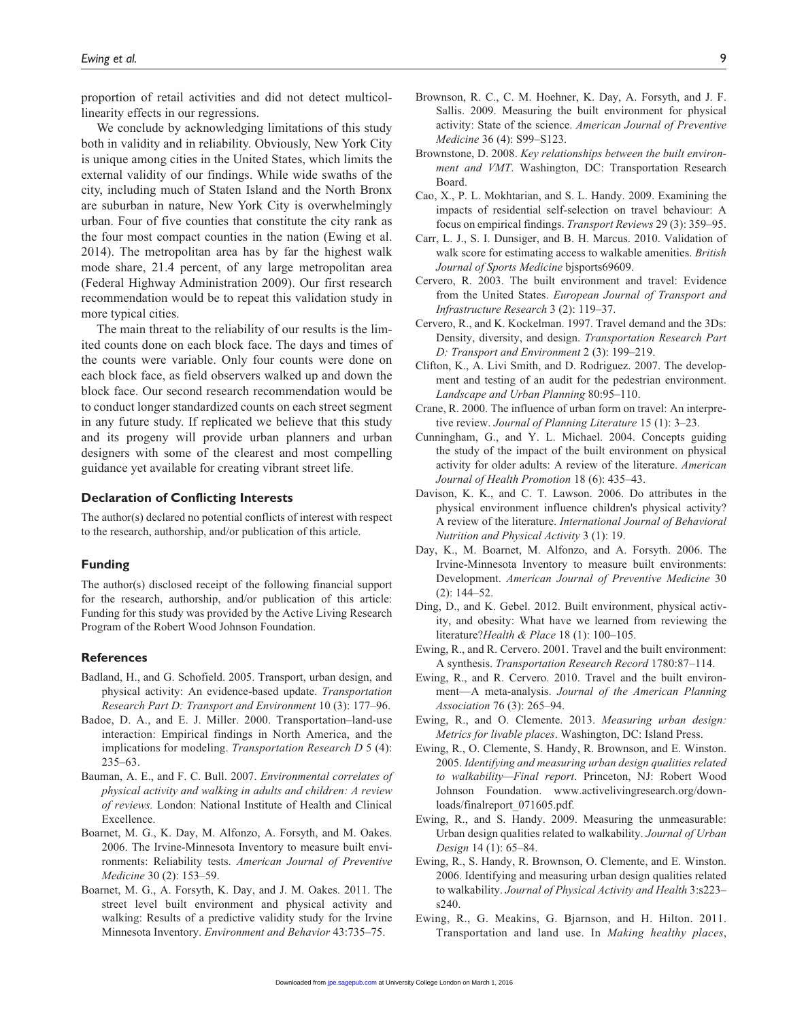proportion of retail activities and did not detect multicollinearity effects in our regressions.

We conclude by acknowledging limitations of this study both in validity and in reliability. Obviously, New York City is unique among cities in the United States, which limits the external validity of our findings. While wide swaths of the city, including much of Staten Island and the North Bronx are suburban in nature, New York City is overwhelmingly urban. Four of five counties that constitute the city rank as the four most compact counties in the nation (Ewing et al. 2014). The metropolitan area has by far the highest walk mode share, 21.4 percent, of any large metropolitan area (Federal Highway Administration 2009). Our first research recommendation would be to repeat this validation study in more typical cities.

The main threat to the reliability of our results is the limited counts done on each block face. The days and times of the counts were variable. Only four counts were done on each block face, as field observers walked up and down the block face. Our second research recommendation would be to conduct longer standardized counts on each street segment in any future study. If replicated we believe that this study and its progeny will provide urban planners and urban designers with some of the clearest and most compelling guidance yet available for creating vibrant street life.

#### **Declaration of Conflicting Interests**

The author(s) declared no potential conflicts of interest with respect to the research, authorship, and/or publication of this article.

#### **Funding**

The author(s) disclosed receipt of the following financial support for the research, authorship, and/or publication of this article: Funding for this study was provided by the Active Living Research Program of the Robert Wood Johnson Foundation.

#### **References**

- Badland, H., and G. Schofield. 2005. Transport, urban design, and physical activity: An evidence-based update. *Transportation Research Part D: Transport and Environment* 10 (3): 177–96.
- Badoe, D. A., and E. J. Miller. 2000. Transportation–land-use interaction: Empirical findings in North America, and the implications for modeling. *Transportation Research D* 5 (4): 235–63.
- Bauman, A. E., and F. C. Bull. 2007. *Environmental correlates of physical activity and walking in adults and children: A review of reviews.* London: National Institute of Health and Clinical Excellence.
- Boarnet, M. G., K. Day, M. Alfonzo, A. Forsyth, and M. Oakes. 2006. The Irvine-Minnesota Inventory to measure built environments: Reliability tests. *American Journal of Preventive Medicine* 30 (2): 153–59.
- Boarnet, M. G., A. Forsyth, K. Day, and J. M. Oakes. 2011. The street level built environment and physical activity and walking: Results of a predictive validity study for the Irvine Minnesota Inventory. *Environment and Behavior* 43:735–75.
- Brownson, R. C., C. M. Hoehner, K. Day, A. Forsyth, and J. F. Sallis. 2009. Measuring the built environment for physical activity: State of the science. *American Journal of Preventive Medicine* 36 (4): S99–S123.
- Brownstone, D. 2008. *Key relationships between the built environment and VMT*. Washington, DC: Transportation Research Board.
- Cao, X., P. L. Mokhtarian, and S. L. Handy. 2009. Examining the impacts of residential self-selection on travel behaviour: A focus on empirical findings. *Transport Reviews* 29 (3): 359–95.
- Carr, L. J., S. I. Dunsiger, and B. H. Marcus. 2010. Validation of walk score for estimating access to walkable amenities. *British Journal of Sports Medicine* bjsports69609.
- Cervero, R. 2003. The built environment and travel: Evidence from the United States. *European Journal of Transport and Infrastructure Research* 3 (2): 119–37.
- Cervero, R., and K. Kockelman. 1997. Travel demand and the 3Ds: Density, diversity, and design. *Transportation Research Part D: Transport and Environment* 2 (3): 199–219.
- Clifton, K., A. Livi Smith, and D. Rodriguez. 2007. The development and testing of an audit for the pedestrian environment. *Landscape and Urban Planning* 80:95–110.
- Crane, R. 2000. The influence of urban form on travel: An interpretive review. *Journal of Planning Literature* 15 (1): 3–23.
- Cunningham, G., and Y. L. Michael. 2004. Concepts guiding the study of the impact of the built environment on physical activity for older adults: A review of the literature. *American Journal of Health Promotion* 18 (6): 435–43.
- Davison, K. K., and C. T. Lawson. 2006. Do attributes in the physical environment influence children's physical activity? A review of the literature. *International Journal of Behavioral Nutrition and Physical Activity* 3 (1): 19.
- Day, K., M. Boarnet, M. Alfonzo, and A. Forsyth. 2006. The Irvine-Minnesota Inventory to measure built environments: Development. *American Journal of Preventive Medicine* 30 (2): 144–52.
- Ding, D., and K. Gebel. 2012. Built environment, physical activity, and obesity: What have we learned from reviewing the literature?*Health & Place* 18 (1): 100–105.
- Ewing, R., and R. Cervero. 2001. Travel and the built environment: A synthesis. *Transportation Research Record* 1780:87–114.
- Ewing, R., and R. Cervero. 2010. Travel and the built environment—A meta-analysis. *Journal of the American Planning Association* 76 (3): 265–94.
- Ewing, R., and O. Clemente. 2013. *Measuring urban design: Metrics for livable places*. Washington, DC: Island Press.
- Ewing, R., O. Clemente, S. Handy, R. Brownson, and E. Winston. 2005. *Identifying and measuring urban design qualities related to walkability—Final report*. Princeton, NJ: Robert Wood Johnson Foundation. [www.activelivingresearch.org/down](www.activelivingresearch.org/downloads/finalreport_071605.pdf)[loads/finalreport\\_071605.pdf.](www.activelivingresearch.org/downloads/finalreport_071605.pdf)
- Ewing, R., and S. Handy. 2009. Measuring the unmeasurable: Urban design qualities related to walkability. *Journal of Urban Design* 14 (1): 65–84.
- Ewing, R., S. Handy, R. Brownson, O. Clemente, and E. Winston. 2006. Identifying and measuring urban design qualities related to walkability. *Journal of Physical Activity and Health* 3:s223– s240.
- Ewing, R., G. Meakins, G. Bjarnson, and H. Hilton. 2011. Transportation and land use. In *Making healthy places*,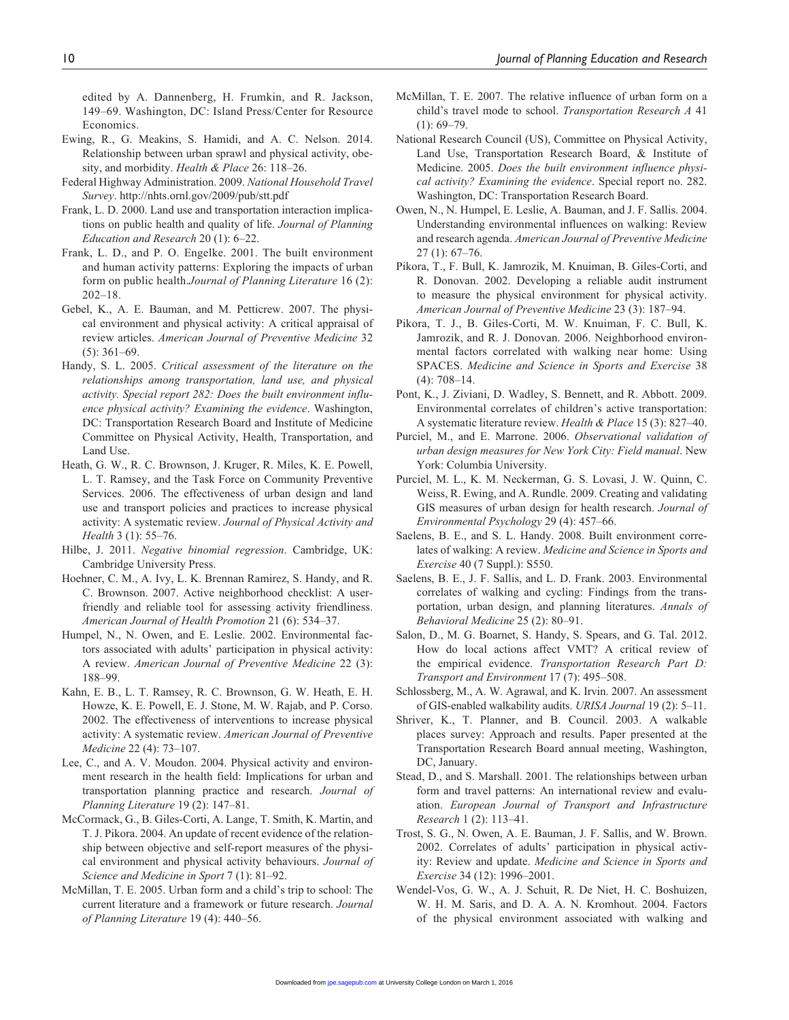edited by A. Dannenberg, H. Frumkin, and R. Jackson, 149–69. Washington, DC: Island Press/Center for Resource Economics.

- Ewing, R., G. Meakins, S. Hamidi, and A. C. Nelson. 2014. Relationship between urban sprawl and physical activity, obesity, and morbidity. *Health & Place* 26: 118–26.
- Federal Highway Administration. 2009. *National Household Travel Survey*. <http://nhts.ornl.gov/2009/pub/stt.pdf>
- Frank, L. D. 2000. Land use and transportation interaction implications on public health and quality of life. *Journal of Planning Education and Research* 20 (1): 6–22.
- Frank, L. D., and P. O. Engelke. 2001. The built environment and human activity patterns: Exploring the impacts of urban form on public health.*Journal of Planning Literature* 16 (2): 202–18.
- Gebel, K., A. E. Bauman, and M. Petticrew. 2007. The physical environment and physical activity: A critical appraisal of review articles. *American Journal of Preventive Medicine* 32 (5): 361–69.
- Handy, S. L. 2005. *Critical assessment of the literature on the relationships among transportation, land use, and physical activity. Special report 282: Does the built environment influence physical activity? Examining the evidence*. Washington, DC: Transportation Research Board and Institute of Medicine Committee on Physical Activity, Health, Transportation, and Land Use.
- Heath, G. W., R. C. Brownson, J. Kruger, R. Miles, K. E. Powell, L. T. Ramsey, and the Task Force on Community Preventive Services. 2006. The effectiveness of urban design and land use and transport policies and practices to increase physical activity: A systematic review. *Journal of Physical Activity and Health* 3 (1): 55–76.
- Hilbe, J. 2011. *Negative binomial regression*. Cambridge, UK: Cambridge University Press.
- Hoehner, C. M., A. Ivy, L. K. Brennan Ramirez, S. Handy, and R. C. Brownson. 2007. Active neighborhood checklist: A userfriendly and reliable tool for assessing activity friendliness. *American Journal of Health Promotion* 21 (6): 534–37.
- Humpel, N., N. Owen, and E. Leslie. 2002. Environmental factors associated with adults' participation in physical activity: A review. *American Journal of Preventive Medicine* 22 (3): 188–99.
- Kahn, E. B., L. T. Ramsey, R. C. Brownson, G. W. Heath, E. H. Howze, K. E. Powell, E. J. Stone, M. W. Rajab, and P. Corso. 2002. The effectiveness of interventions to increase physical activity: A systematic review. *American Journal of Preventive Medicine* 22 (4): 73–107.
- Lee, C., and A. V. Moudon. 2004. Physical activity and environment research in the health field: Implications for urban and transportation planning practice and research. *Journal of Planning Literature* 19 (2): 147–81.
- McCormack, G., B. Giles-Corti, A. Lange, T. Smith, K. Martin, and T. J. Pikora. 2004. An update of recent evidence of the relationship between objective and self-report measures of the physical environment and physical activity behaviours. *Journal of Science and Medicine in Sport* 7 (1): 81–92.
- McMillan, T. E. 2005. Urban form and a child's trip to school: The current literature and a framework or future research. *Journal of Planning Literature* 19 (4): 440–56.
- McMillan, T. E. 2007. The relative influence of urban form on a child's travel mode to school. *Transportation Research A* 41  $(1): 69 - 79.$
- National Research Council (US), Committee on Physical Activity, Land Use, Transportation Research Board, & Institute of Medicine. 2005. *Does the built environment influence physical activity? Examining the evidence*. Special report no. 282. Washington, DC: Transportation Research Board.
- Owen, N., N. Humpel, E. Leslie, A. Bauman, and J. F. Sallis. 2004. Understanding environmental influences on walking: Review and research agenda. *American Journal of Preventive Medicine* 27 (1): 67–76.
- Pikora, T., F. Bull, K. Jamrozik, M. Knuiman, B. Giles-Corti, and R. Donovan. 2002. Developing a reliable audit instrument to measure the physical environment for physical activity. *American Journal of Preventive Medicine* 23 (3): 187–94.
- Pikora, T. J., B. Giles-Corti, M. W. Knuiman, F. C. Bull, K. Jamrozik, and R. J. Donovan. 2006. Neighborhood environmental factors correlated with walking near home: Using SPACES. *Medicine and Science in Sports and Exercise* 38 (4): 708–14.
- Pont, K., J. Ziviani, D. Wadley, S. Bennett, and R. Abbott. 2009. Environmental correlates of children's active transportation: A systematic literature review. *Health & Place* 15 (3): 827–40.
- Purciel, M., and E. Marrone. 2006. *Observational validation of urban design measures for New York City: Field manual*. New York: Columbia University.
- Purciel, M. L., K. M. Neckerman, G. S. Lovasi, J. W. Quinn, C. Weiss, R. Ewing, and A. Rundle. 2009. Creating and validating GIS measures of urban design for health research. *Journal of Environmental Psychology* 29 (4): 457–66.
- Saelens, B. E., and S. L. Handy. 2008. Built environment correlates of walking: A review. *Medicine and Science in Sports and Exercise* 40 (7 Suppl.): S550.
- Saelens, B. E., J. F. Sallis, and L. D. Frank. 2003. Environmental correlates of walking and cycling: Findings from the transportation, urban design, and planning literatures. *Annals of Behavioral Medicine* 25 (2): 80–91.
- Salon, D., M. G. Boarnet, S. Handy, S. Spears, and G. Tal. 2012. How do local actions affect VMT? A critical review of the empirical evidence. *Transportation Research Part D: Transport and Environment* 17 (7): 495–508.
- Schlossberg, M., A. W. Agrawal, and K. Irvin. 2007. An assessment of GIS-enabled walkability audits. *URISA Journal* 19 (2): 5–11.
- Shriver, K., T. Planner, and B. Council. 2003. A walkable places survey: Approach and results. Paper presented at the Transportation Research Board annual meeting, Washington, DC, January.
- Stead, D., and S. Marshall. 2001. The relationships between urban form and travel patterns: An international review and evaluation. *European Journal of Transport and Infrastructure Research* 1 (2): 113–41.
- Trost, S. G., N. Owen, A. E. Bauman, J. F. Sallis, and W. Brown. 2002. Correlates of adults' participation in physical activity: Review and update. *Medicine and Science in Sports and Exercise* 34 (12): 1996–2001.
- Wendel-Vos, G. W., A. J. Schuit, R. De Niet, H. C. Boshuizen, W. H. M. Saris, and D. A. A. N. Kromhout. 2004. Factors of the physical environment associated with walking and